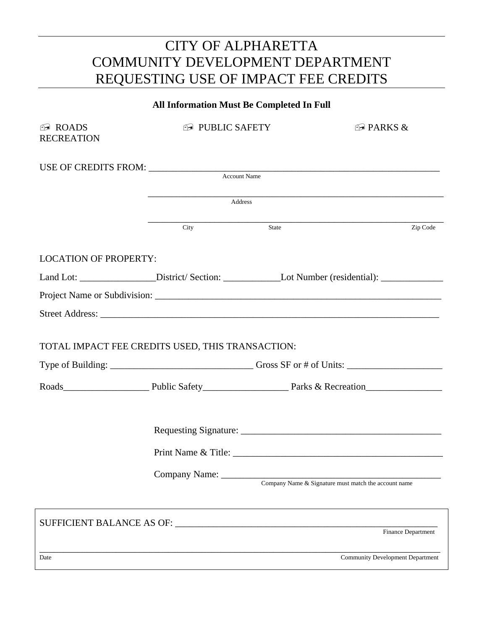## CITY OF ALPHARETTA COMMUNITY DEVELOPMENT DEPARTMENT REQUESTING USE OF IMPACT FEE CREDITS

| <b>All Information Must Be Completed In Full</b>                                                          |                                                |                                                      |                                         |  |
|-----------------------------------------------------------------------------------------------------------|------------------------------------------------|------------------------------------------------------|-----------------------------------------|--|
| $\bigcirc$ ROADS<br><b>RECREATION</b>                                                                     | <b>E PUBLIC SAFETY</b>                         |                                                      | $\bigcirc$ PARKS &                      |  |
|                                                                                                           |                                                |                                                      |                                         |  |
|                                                                                                           | Address                                        |                                                      |                                         |  |
|                                                                                                           | City                                           | State                                                | Zip Code                                |  |
| <b>LOCATION OF PROPERTY:</b>                                                                              |                                                |                                                      |                                         |  |
| Land Lot: ___________________District/Section: ________________Lot Number (residential): ________________ |                                                |                                                      |                                         |  |
|                                                                                                           |                                                |                                                      |                                         |  |
|                                                                                                           |                                                |                                                      |                                         |  |
| TOTAL IMPACT FEE CREDITS USED, THIS TRANSACTION:                                                          |                                                |                                                      |                                         |  |
|                                                                                                           |                                                |                                                      |                                         |  |
|                                                                                                           | Print Name & Title:<br>Company Name: _________ | Company Name & Signature must match the account name |                                         |  |
|                                                                                                           |                                                |                                                      | Finance Department                      |  |
| Date                                                                                                      |                                                |                                                      | <b>Community Development Department</b> |  |